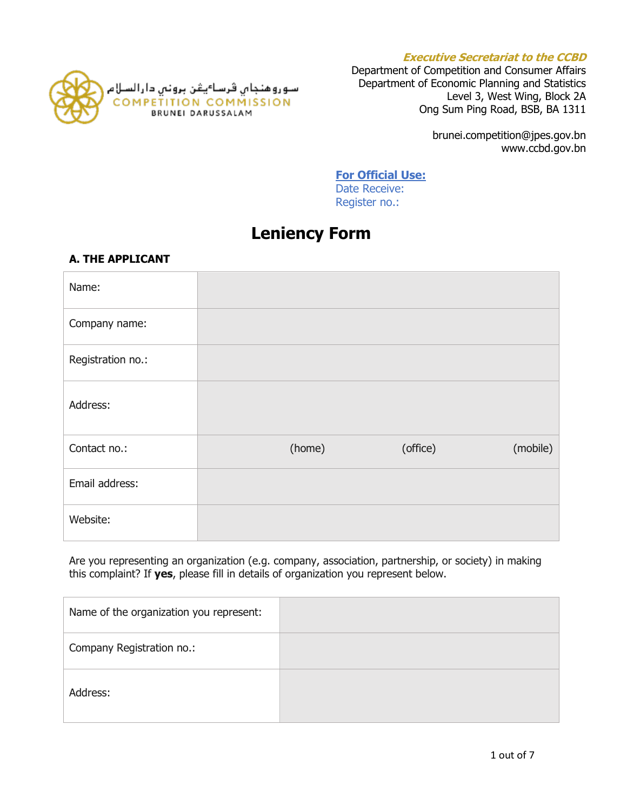



Department of Competition and Consumer Affairs Department of Economic Planning and Statistics Level 3, West Wing, Block 2A Ong Sum Ping Road, BSB, BA 1311

> brunei.competition@jpes.gov.bn www.ccbd.gov.bn

### **For Official Use:**

Date Receive: Register no.:

# **Leniency Form**

## **A. THE APPLICANT**

| Name:             |        |          |          |
|-------------------|--------|----------|----------|
| Company name:     |        |          |          |
| Registration no.: |        |          |          |
| Address:          |        |          |          |
| Contact no.:      | (home) | (office) | (mobile) |
| Email address:    |        |          |          |
| Website:          |        |          |          |

Are you representing an organization (e.g. company, association, partnership, or society) in making this complaint? If **yes**, please fill in details of organization you represent below.

| Name of the organization you represent: |  |
|-----------------------------------------|--|
| Company Registration no.:               |  |
| Address:                                |  |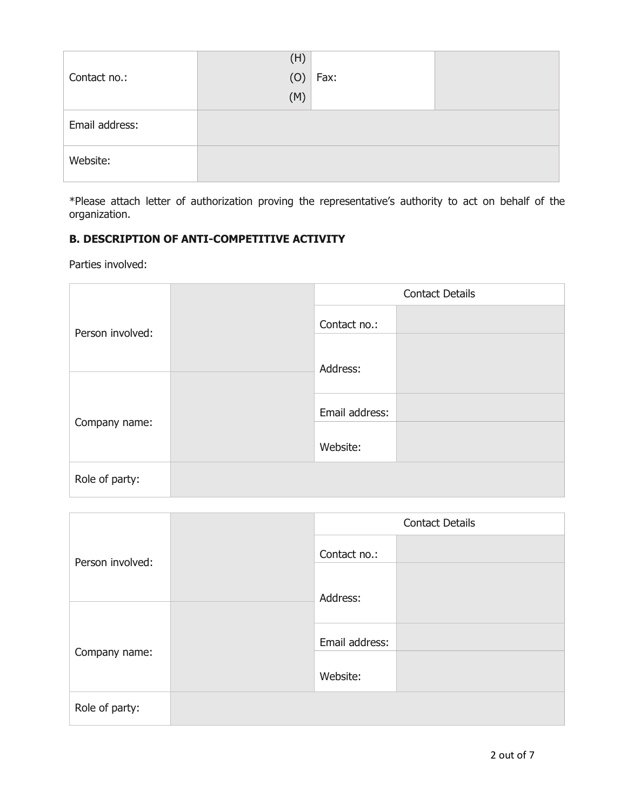|                | (H) |      |  |
|----------------|-----|------|--|
| Contact no.:   | (0) | Fax: |  |
|                | (M) |      |  |
| Email address: |     |      |  |
| Website:       |     |      |  |

\*Please attach letter of authorization proving the representative's authority to act on behalf of the organization.

# **B. DESCRIPTION OF ANTI-COMPETITIVE ACTIVITY**

Parties involved:

|                  | <b>Contact Details</b> |  |
|------------------|------------------------|--|
| Person involved: | Contact no.:           |  |
|                  | Address:               |  |
| Company name:    | Email address:         |  |
|                  | Website:               |  |
| Role of party:   |                        |  |

|                  |                | <b>Contact Details</b> |
|------------------|----------------|------------------------|
| Person involved: | Contact no.:   |                        |
|                  | Address:       |                        |
| Company name:    | Email address: |                        |
|                  | Website:       |                        |
| Role of party:   |                |                        |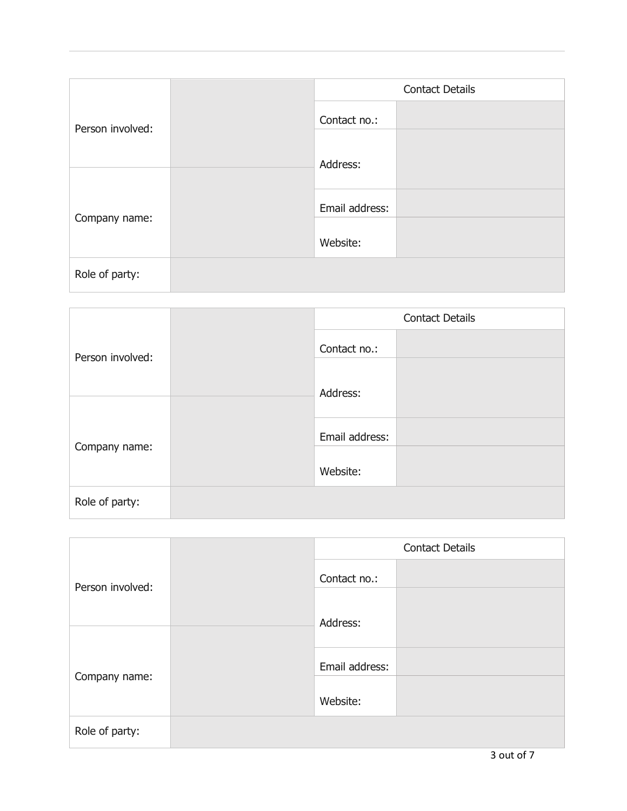|                  |  | <b>Contact Details</b> |  |
|------------------|--|------------------------|--|
| Person involved: |  | Contact no.:           |  |
|                  |  | Address:               |  |
| Company name:    |  | Email address:         |  |
|                  |  | Website:               |  |
| Role of party:   |  |                        |  |

|                                   |  | <b>Contact Details</b> |  |
|-----------------------------------|--|------------------------|--|
| Person involved:<br>Company name: |  | Contact no.:           |  |
|                                   |  | Address:               |  |
|                                   |  | Email address:         |  |
|                                   |  | Website:               |  |
| Role of party:                    |  |                        |  |

|                  | <b>Contact Details</b> |  |
|------------------|------------------------|--|
| Person involved: | Contact no.:           |  |
|                  | Address:               |  |
| Company name:    | Email address:         |  |
|                  | Website:               |  |
| Role of party:   |                        |  |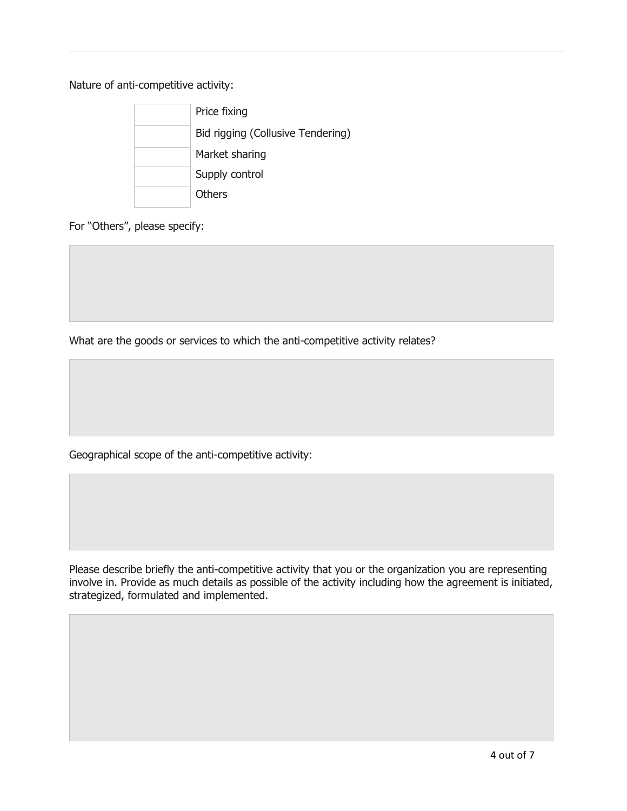Nature of anti-competitive activity:



For "Others", please specify:

What are the goods or services to which the anti-competitive activity relates?

Geographical scope of the anti-competitive activity:

Please describe briefly the anti-competitive activity that you or the organization you are representing involve in. Provide as much details as possible of the activity including how the agreement is initiated, strategized, formulated and implemented.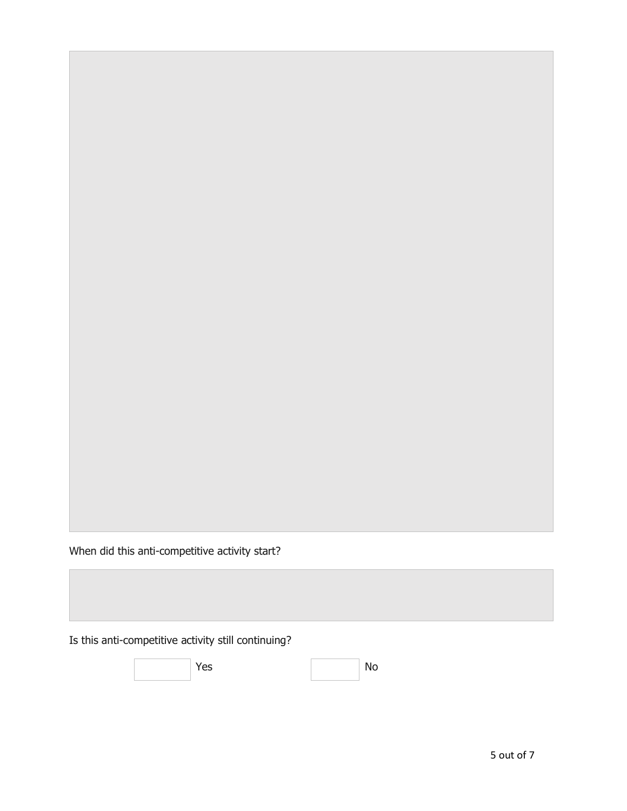When did this anti-competitive activity start?

Is this anti-competitive activity still continuing?

Yes No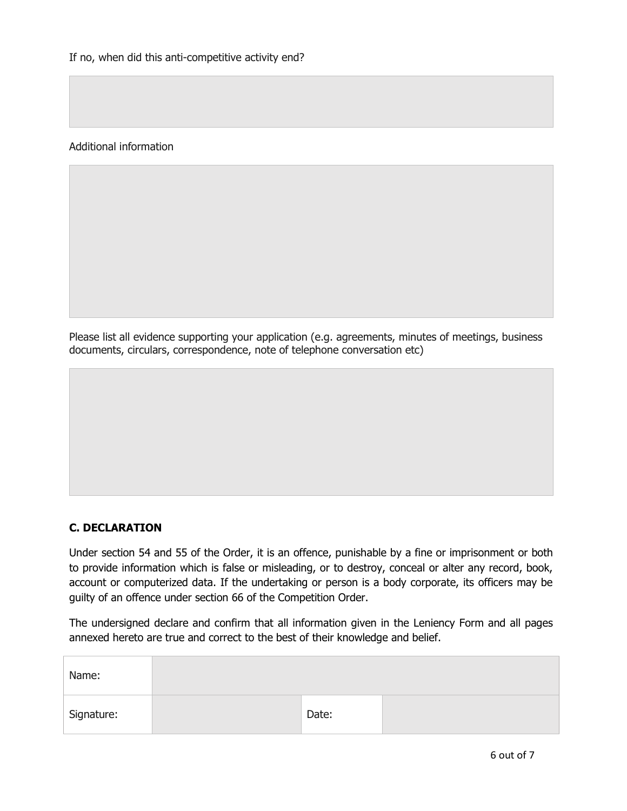Additional information

Please list all evidence supporting your application (e.g. agreements, minutes of meetings, business documents, circulars, correspondence, note of telephone conversation etc)

### **C. DECLARATION**

Under section 54 and 55 of the Order, it is an offence, punishable by a fine or imprisonment or both to provide information which is false or misleading, or to destroy, conceal or alter any record, book, account or computerized data. If the undertaking or person is a body corporate, its officers may be guilty of an offence under section 66 of the Competition Order.

The undersigned declare and confirm that all information given in the Leniency Form and all pages annexed hereto are true and correct to the best of their knowledge and belief.

| Name:      |       |  |
|------------|-------|--|
| Signature: | Date: |  |